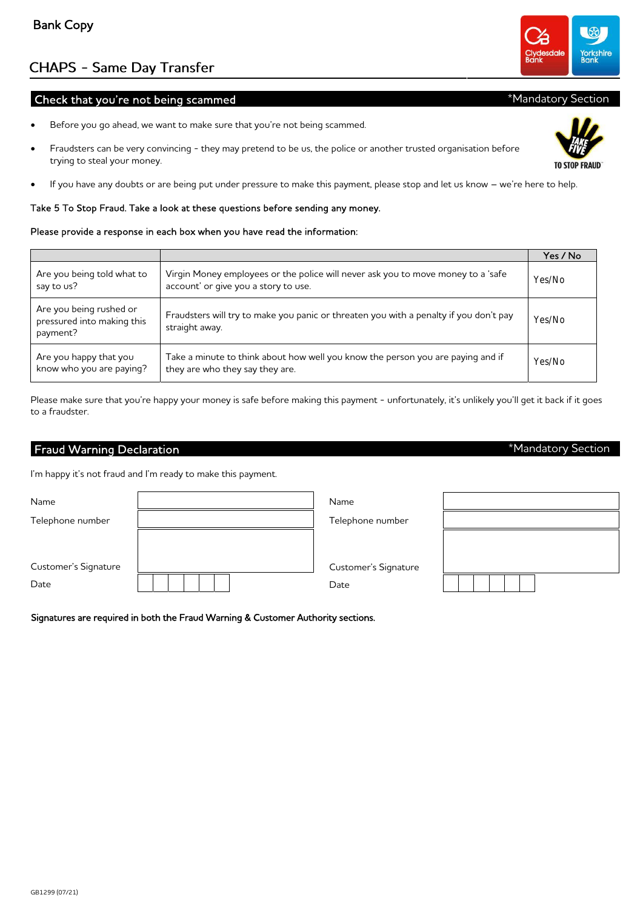GB1299 (07/21)

# **CHAPS - Same Day Transfer**

## Check that you're not being scammed

- Before you go ahead, we want to make sure that you're not being scammed.
- Fraudsters can be very convincing they may pretend to be us, the police or another trusted organisation before trying to steal your money.
- If you have any doubts or are being put under pressure to make this payment, please stop and let us know we're here to help.

## Take 5 To Stop Fraud. Take a look at these questions before sending any money.

## Please provide a response in each box when you have read the information:

|                                                                   |                                                                                                                          | Yes / No |
|-------------------------------------------------------------------|--------------------------------------------------------------------------------------------------------------------------|----------|
| Are you being told what to<br>say to us?                          | Virgin Money employees or the police will never ask you to move money to a 'safe<br>account' or give you a story to use. | Yes/No   |
| Are you being rushed or<br>pressured into making this<br>payment? | Fraudsters will try to make you panic or threaten you with a penalty if you don't pay<br>straight away.                  | Yes/No   |
| Are you happy that you<br>know who you are paying?                | Take a minute to think about how well you know the person you are paying and if<br>they are who they say they are.       | Yes/No   |

Please make sure that you're happy your money is safe before making this payment - unfortunately, it's unlikely you'll get it back if it goes to a fraudster.

## Fraud Warning Declaration

I'm happy it's not fraud and I'm ready to make this payment.

| Name                         | Name                         |  |
|------------------------------|------------------------------|--|
| Telephone number             | Telephone number             |  |
| Customer's Signature<br>Date | Customer's Signature<br>Date |  |

Signatures are required in both the Fraud Warning & Customer Authority sections.





# \*Mandatory Section

\*Mandatory Section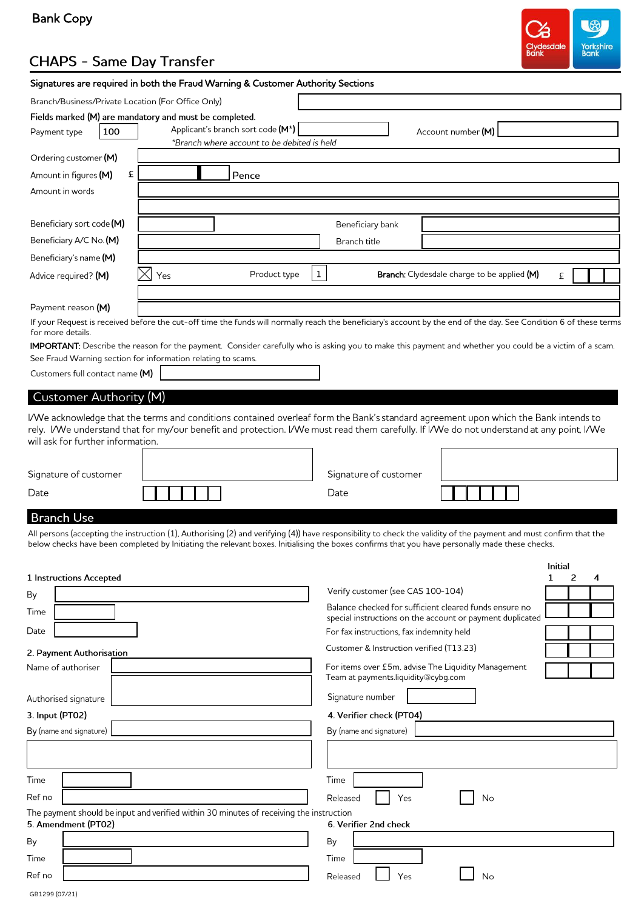# Bank Copy



# **CHAPS - Same Day Transfer**

# Signatures are required in both the Fraud Warning & Customer Authority Sections

| Branch/Business/Private Location (For Office Only)         |                                                                                                                                                                                                                                                                                                                     |                                          |                                                                                                                     |             |
|------------------------------------------------------------|---------------------------------------------------------------------------------------------------------------------------------------------------------------------------------------------------------------------------------------------------------------------------------------------------------------------|------------------------------------------|---------------------------------------------------------------------------------------------------------------------|-------------|
|                                                            | Fields marked (M) are mandatory and must be completed.                                                                                                                                                                                                                                                              |                                          |                                                                                                                     |             |
| 100<br>Payment type                                        | Applicant's branch sort code (M*)                                                                                                                                                                                                                                                                                   |                                          | Account number (M)                                                                                                  |             |
|                                                            | *Branch where account to be debited is held                                                                                                                                                                                                                                                                         |                                          |                                                                                                                     |             |
| Ordering customer (M)                                      |                                                                                                                                                                                                                                                                                                                     |                                          |                                                                                                                     |             |
| £<br>Amount in figures (M)                                 | Pence                                                                                                                                                                                                                                                                                                               |                                          |                                                                                                                     |             |
| Amount in words                                            |                                                                                                                                                                                                                                                                                                                     |                                          |                                                                                                                     |             |
|                                                            |                                                                                                                                                                                                                                                                                                                     |                                          |                                                                                                                     |             |
| Beneficiary sort code (M)                                  |                                                                                                                                                                                                                                                                                                                     | Beneficiary bank                         |                                                                                                                     |             |
| Beneficiary A/C No. (M)                                    |                                                                                                                                                                                                                                                                                                                     | Branch title                             |                                                                                                                     |             |
| Beneficiary's name (M)                                     |                                                                                                                                                                                                                                                                                                                     |                                          |                                                                                                                     |             |
| Advice required? (M)                                       | Product type<br>Yes                                                                                                                                                                                                                                                                                                 | $\mathbf{1}$                             | <b>Branch:</b> Clydesdale charge to be applied (M)                                                                  | £           |
| Payment reason (M)                                         |                                                                                                                                                                                                                                                                                                                     |                                          |                                                                                                                     |             |
| for more details.                                          | If your Request is received before the cut-off time the funds will normally reach the beneficiary's account by the end of the day. See Condition 6 of these terms                                                                                                                                                   |                                          |                                                                                                                     |             |
|                                                            | IMPORTANT: Describe the reason for the payment. Consider carefully who is asking you to make this payment and whether you could be a victim of a scam.                                                                                                                                                              |                                          |                                                                                                                     |             |
| Customers full contact name (M)                            | See Fraud Warning section for information relating to scams.                                                                                                                                                                                                                                                        |                                          |                                                                                                                     |             |
| <b>Customer Authority (M)</b>                              |                                                                                                                                                                                                                                                                                                                     |                                          |                                                                                                                     |             |
| will ask for further information.<br>Signature of customer | rely. I/We understand that for my/our benefit and protection. I/We must read them carefully. If I/We do not understand at any point, I/We                                                                                                                                                                           | Signature of customer                    |                                                                                                                     |             |
| Date                                                       |                                                                                                                                                                                                                                                                                                                     | Date                                     |                                                                                                                     |             |
| <b>Branch Use</b>                                          |                                                                                                                                                                                                                                                                                                                     |                                          |                                                                                                                     |             |
|                                                            | All persons (accepting the instruction (1), Authorising (2) and verifying (4)) have responsibility to check the validity of the payment and must confirm that the<br>below checks have been completed by Initiating the relevant boxes. Initialising the boxes confirms that you have personally made these checks. |                                          |                                                                                                                     |             |
|                                                            |                                                                                                                                                                                                                                                                                                                     |                                          |                                                                                                                     | Initial     |
| <b>1 Instructions Accepted</b>                             |                                                                                                                                                                                                                                                                                                                     |                                          |                                                                                                                     | 1<br>2<br>4 |
| Вy                                                         |                                                                                                                                                                                                                                                                                                                     | Verify customer (see CAS 100-104)        |                                                                                                                     |             |
| Time                                                       |                                                                                                                                                                                                                                                                                                                     |                                          | Balance checked for sufficient cleared funds ensure no<br>special instructions on the account or payment duplicated |             |
| Date                                                       |                                                                                                                                                                                                                                                                                                                     | For fax instructions, fax indemnity held |                                                                                                                     |             |
|                                                            |                                                                                                                                                                                                                                                                                                                     | Customer & Instruction verified (T13.23) |                                                                                                                     |             |
| 2. Payment Authorisation<br>Name of authoriser             |                                                                                                                                                                                                                                                                                                                     |                                          | For items over £5m, advise The Liquidity Management                                                                 |             |
|                                                            |                                                                                                                                                                                                                                                                                                                     | Team at payments.liquidity@cybg.com      |                                                                                                                     |             |
| Authorised signature                                       |                                                                                                                                                                                                                                                                                                                     | Signature number                         |                                                                                                                     |             |
| 3. Input (PT02)                                            |                                                                                                                                                                                                                                                                                                                     | 4. Verifier check (PT04)                 |                                                                                                                     |             |
| By (name and signature)                                    |                                                                                                                                                                                                                                                                                                                     | By (name and signature)                  |                                                                                                                     |             |
|                                                            |                                                                                                                                                                                                                                                                                                                     |                                          |                                                                                                                     |             |
|                                                            |                                                                                                                                                                                                                                                                                                                     |                                          |                                                                                                                     |             |
| Time                                                       |                                                                                                                                                                                                                                                                                                                     | Time                                     |                                                                                                                     |             |
| Ref no                                                     |                                                                                                                                                                                                                                                                                                                     | Yes<br>Released                          | No                                                                                                                  |             |

| The payment should be input and verified within 30 minutes of receiving the instruction |                     |  |      |                       |  |
|-----------------------------------------------------------------------------------------|---------------------|--|------|-----------------------|--|
|                                                                                         | 5. Amendment (PT02) |  |      | 6. Verifier 2nd check |  |
| Bv                                                                                      |                     |  | Bv   |                       |  |
| Time                                                                                    |                     |  | Time |                       |  |

Released

 $\overline{\phantom{a}}$  Yes

 $\Box$  No

| GB1299 (07/21) |  |
|----------------|--|

Ref no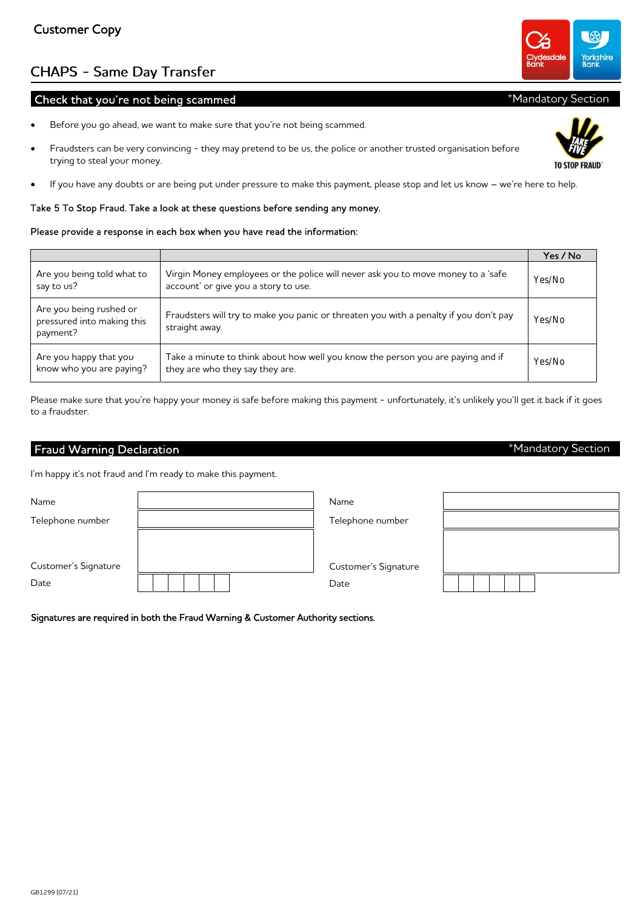GB1299 (07/21)

# **CHAPS - Same Day Transfer**

## Check that you're not being scammed

- Before you go ahead, we want to make sure that you're not being scammed.
- Fraudsters can be very convincing they may pretend to be us, the police or another trusted organisation before trying to steal your money.
- If you have any doubts or are being put under pressure to make this payment, please stop and let us know we're here to help.

## Take 5 To Stop Fraud. Take a look at these questions before sending any money.

## Please provide a response in each box when you have read the information:

|                                                                   |                                                                                                                          | Yes / No |
|-------------------------------------------------------------------|--------------------------------------------------------------------------------------------------------------------------|----------|
| Are you being told what to<br>say to us?                          | Virgin Money employees or the police will never ask you to move money to a 'safe<br>account' or give you a story to use. | Yes/No   |
| Are you being rushed or<br>pressured into making this<br>payment? | Fraudsters will try to make you panic or threaten you with a penalty if you don't pay<br>straight away.                  | Yes/No   |
| Are you happy that you<br>know who you are paying?                | Take a minute to think about how well you know the person you are paying and if<br>they are who they say they are.       | Yes/No   |

Please make sure that you're happy your money is safe before making this payment - unfortunately, it's unlikely you'll get it back if it goes to a fraudster.

# Fraud Warning Declaration

I'm happy it's not fraud and I'm ready to make this payment.

| Name                 | Name                 |  |
|----------------------|----------------------|--|
| Telephone number     | Telephone number     |  |
| Customer's Signature | Customer's Signature |  |
| Date                 | Date                 |  |

Signatures are required in both the Fraud Warning & Customer Authority sections.



**EDAIIN** 



## \*Mandatory Section

\*Mandatory Section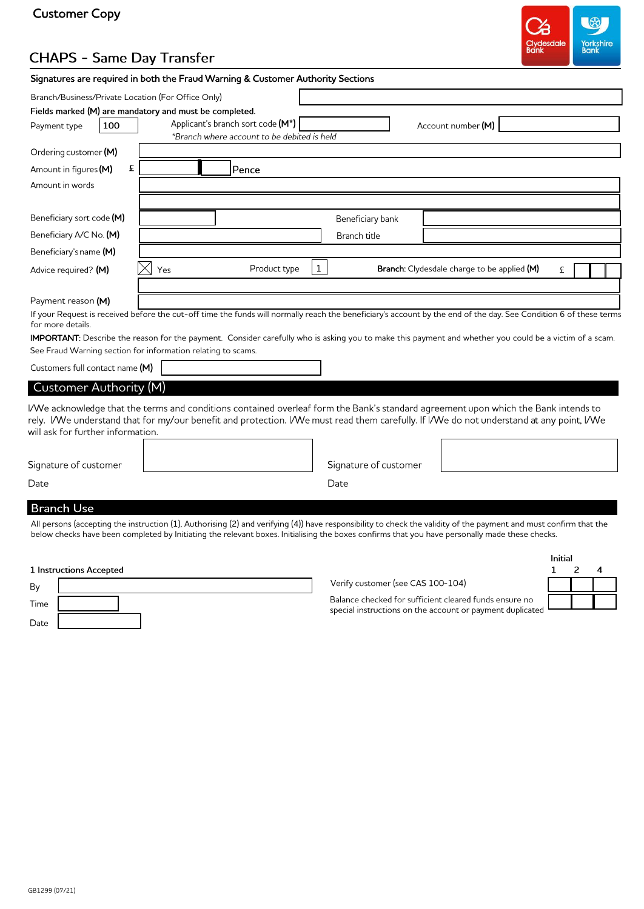# Customer Copy



# **CHAPS - Same Day Transfer**

|                                   |     | Signatures are required in both the Fraud Warning & Customer Authority Sections                                                                                                                                                                                                  |              |
|-----------------------------------|-----|----------------------------------------------------------------------------------------------------------------------------------------------------------------------------------------------------------------------------------------------------------------------------------|--------------|
|                                   |     | Branch/Business/Private Location (For Office Only)                                                                                                                                                                                                                               |              |
|                                   |     | Fields marked (M) are mandatory and must be completed.                                                                                                                                                                                                                           |              |
| Payment type                      | 100 | Applicant's branch sort code (M*)<br>Account number (M)                                                                                                                                                                                                                          |              |
|                                   |     | *Branch where account to be debited is held                                                                                                                                                                                                                                      |              |
| Ordering customer (M)             |     |                                                                                                                                                                                                                                                                                  |              |
| Amount in figures (M)             | £   | Pence                                                                                                                                                                                                                                                                            |              |
| Amount in words                   |     |                                                                                                                                                                                                                                                                                  |              |
|                                   |     |                                                                                                                                                                                                                                                                                  |              |
| Beneficiary sort code (M)         |     | Beneficiary bank                                                                                                                                                                                                                                                                 |              |
| Beneficiary A/C No. (M)           |     | Branch title                                                                                                                                                                                                                                                                     |              |
| Beneficiary's name (M)            |     |                                                                                                                                                                                                                                                                                  |              |
|                                   |     | $\mathbf 1$<br>Product type<br><b>Branch:</b> Clydesdale charge to be applied (M)<br>Yes                                                                                                                                                                                         | £            |
| Advice required? (M)              |     |                                                                                                                                                                                                                                                                                  |              |
|                                   |     |                                                                                                                                                                                                                                                                                  |              |
| Payment reason (M)                |     | If your Request is received before the cut-off time the funds will normally reach the beneficiary's account by the end of the day. See Condition 6 of these terms                                                                                                                |              |
| for more details.                 |     |                                                                                                                                                                                                                                                                                  |              |
|                                   |     | <b>IMPORTANT:</b> Describe the reason for the payment. Consider carefully who is asking you to make this payment and whether you could be a victim of a scam.                                                                                                                    |              |
|                                   |     | See Fraud Warning section for information relating to scams.                                                                                                                                                                                                                     |              |
| Customers full contact name (M)   |     |                                                                                                                                                                                                                                                                                  |              |
| Customer Authority (M)            |     |                                                                                                                                                                                                                                                                                  |              |
|                                   |     |                                                                                                                                                                                                                                                                                  |              |
|                                   |     | I/We acknowledge that the terms and conditions contained overleaf form the Bank's standard agreement upon which the Bank intends to<br>rely. I/We understand that for my/our benefit and protection. I/We must read them carefully. If I/We do not understand at any point, I/We |              |
| will ask for further information. |     |                                                                                                                                                                                                                                                                                  |              |
|                                   |     |                                                                                                                                                                                                                                                                                  |              |
|                                   |     | Signature of customer                                                                                                                                                                                                                                                            |              |
| Signature of customer             |     |                                                                                                                                                                                                                                                                                  |              |
| Date                              |     | Date                                                                                                                                                                                                                                                                             |              |
| <b>Branch Use</b>                 |     |                                                                                                                                                                                                                                                                                  |              |
|                                   |     | All persons (accepting the instruction (1), Authorising (2) and verifying (4)) have responsibility to check the validity of the payment and must confirm that the                                                                                                                |              |
|                                   |     | below checks have been completed by Initiating the relevant boxes. Initialising the boxes confirms that you have personally made these checks.                                                                                                                                   |              |
|                                   |     |                                                                                                                                                                                                                                                                                  |              |
|                                   |     |                                                                                                                                                                                                                                                                                  | Initial<br>2 |
| 1 Instructions Accepted           |     | Verify customer (see CAS 100-104)                                                                                                                                                                                                                                                | 1<br>4       |
| By                                |     | Balance checked for sufficient cleared funds ensure no                                                                                                                                                                                                                           |              |
| Time                              |     |                                                                                                                                                                                                                                                                                  |              |

Date

special instructions on the account or payment duplicate

| b |  |  |
|---|--|--|
|   |  |  |
|   |  |  |

GB1299 (07/21)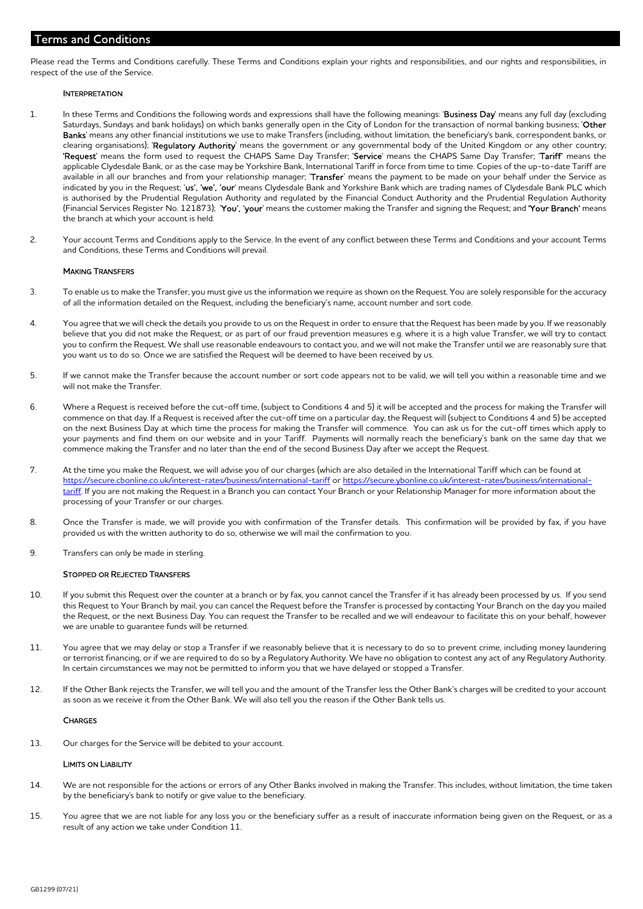## Terms and Conditions

Please read the Terms and Conditions carefully. These Terms and Conditions explain your rights and responsibilities, and our rights and responsibilities, in respect of the use of the Service.

#### **INTERPRETATION**

- 1. In these Terms and Conditions the following words and expressions shall have the following meanings: 'Business Day' means any full day (excluding Saturdays, Sundays and bank holidays) on which banks generally open in the City of London for the transaction of normal banking business; 'Other Banks' means any other financial institutions we use to make Transfers (including, without limitation, the beneficiary's bank, correspondent banks, or clearing organisations); 'Requlatory Authority' means the government or any governmental body of the United Kingdom or any other country; 'Request' means the form used to request the CHAPS Same Day Transfer; 'Service' means the CHAPS Same Day Transfer; 'Tariff' means the applicable Clydesdale Bank, or as the case may be Yorkshire Bank, International Tariff in force from time to time. Copies of the up-to-date Tariff are available in all our branches and from your relationship manager; 'Transfer' means the payment to be made on your behalf under the Service as indicated by you in the Request; 'us', 'we', 'our' means Clydesdale Bank and Yorkshire Bank which are trading names of Clydesdale Bank PLC which is authorised by the Prudential Regulation Authority and regulated by the Financial Conduct Authority and the Prudential Regulation Authority (Financial Services Register No. 121873); 'You', 'your' means the customer making the Transfer and signing the Request; and 'Your Branch' means the branch at which your account is held.
- 2. Your account Terms and Conditions apply to the Service. In the event of any conflict between these Terms and Conditions and your account Terms and Conditions, these Terms and Conditions will prevail.

### MAKING TRANSFERS

- 3. To enable us to make the Transfer, you must give us the information we require as shown on the Request. You are solely responsible for the accuracy of all the information detailed on the Request, including the beneficiary's name, account number and sort code.
- 4. You agree that we will check the details you provide to us on the Request in order to ensure that the Request has been made by you. If we reasonably believe that you did not make the Request, or as part of our fraud prevention measures e.g. where it is a high value Transfer, we will try to contact you to confirm the Request. We shall use reasonable endeavours to contact you, and we will not make the Transfer until we are reasonably sure that you want us to do so. Once we are satisfied the Request will be deemed to have been received by us.
- 5. If we cannot make the Transfer because the account number or sort code appears not to be valid, we will tell you within a reasonable time and we will not make the Transfer.
- 6. Where a Request is received before the cut-off time, (subject to Conditions 4 and 5) it will be accepted and the process for making the Transfer will commence on that day. If a Request is received after the cut-off time on a particular day, the Request will (subject to Conditions 4 and 5) be accepted on the next Business Day at which time the process for making the Transfer will commence. You can ask us for the cut-off times which apply to your payments and find them on our website and in your Tariff. Payments will normally reach the beneficiary's bank on the same day that we commence making the Transfer and no later than the end of the second Business Day after we accept the Request.
- 7. At the time you make the Request, we will advise you of our charges (which are also detailed in the International Tariff which can be found at https://secure.cbonline.co.uk/interest-rates/business/international-tariff or https://secure.ybonline.co.uk/interest-rates/business/internationaltariff. If you are not making the Request in a Branch you can contact Your Branch or your Relationship Manager for more information about the processing of your Transfer or our charges.
- 8. Once the Transfer is made, we will provide you with confirmation of the Transfer details. This confirmation will be provided by fax, if you have provided us with the written authority to do so, otherwise we will mail the confirmation to you.
- 9. Transfers can only be made in sterling.

#### STOPPED OR REJECTED TRANSFERS

- 10. If you submit this Request over the counter at a branch or by fax, you cannot cancel the Transfer if it has already been processed by us. If you send this Request to Your Branch by mail, you can cancel the Request before the Transfer is processed by contacting Your Branch on the day you mailed the Request, or the next Business Day. You can request the Transfer to be recalled and we will endeavour to facilitate this on your behalf, however we are unable to guarantee funds will be returned.
- 11. You agree that we may delay or stop a Transfer if we reasonably believe that it is necessary to do so to prevent crime, including money laundering or terrorist financing, or if we are required to do so by a Regulatory Authority. We have no obligation to contest any act of any Regulatory Authority. In certain circumstances we may not be permitted to inform you that we have delayed or stopped a Transfer.
- 12. If the Other Bank rejects the Transfer, we will tell you and the amount of the Transfer less the Other Bank's charges will be credited to your account as soon as we receive it from the Other Bank. We will also tell you the reason if the Other Bank tells us.

#### **CHARGES**

13. Our charges for the Service will be debited to your account.

#### LIMITS ON LIABILITY

- 14. We are not responsible for the actions or errors of any Other Banks involved in making the Transfer. This includes, without limitation, the time taken by the beneficiary's bank to notify or give value to the beneficiary.
- 15. You agree that we are not liable for any loss you or the beneficiary suffer as a result of inaccurate information being given on the Request, or as a result of any action we take under Condition 11.